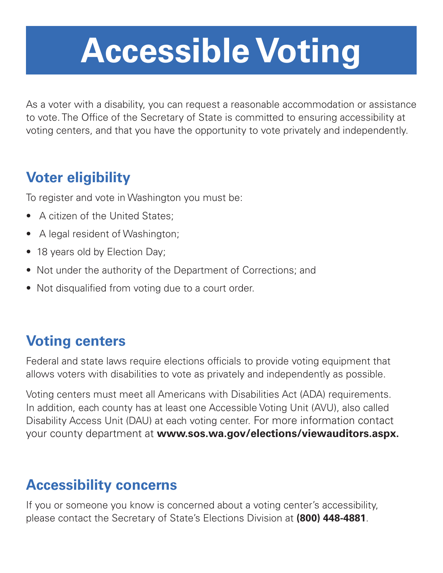# **Accessible Voting**

As a voter with a disability, you can request a reasonable accommodation or assistance to vote. The Office of the Secretary of State is committed to ensuring accessibility at voting centers, and that you have the opportunity to vote privately and independently.

## **Voter eligibility**

To register and vote in Washington you must be:

- A citizen of the United States;
- A legal resident of Washington;
- 18 years old by Election Day;
- Not under the authority of the Department of Corrections; and
- Not disqualified from voting due to a court order.

## **Voting centers**

Federal and state laws require elections officials to provide voting equipment that allows voters with disabilities to vote as privately and independently as possible.

Voting centers must meet all Americans with Disabilities Act (ADA) requirements. In addition, each county has at least one Accessible Voting Unit (AVU), also called Disability Access Unit (DAU) at each voting center. For more information contact your county department at **www.sos.wa.gov/elections/viewauditors.aspx.** 

## **Accessibility concerns**

If you or someone you know is concerned about a voting center's accessibility, please contact the Secretary of State's Elections Division at **(800) 448-4881**.